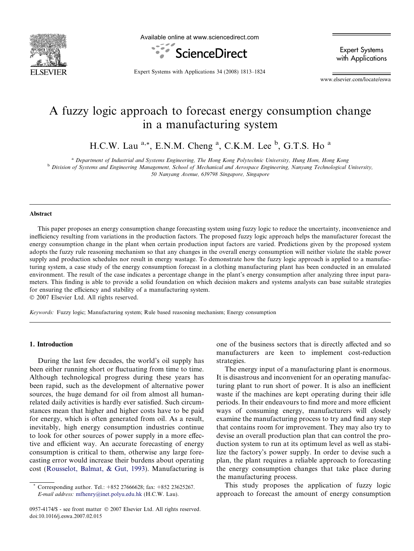

Available online at www.sciencedirect.com



Expert Systems with Applications

Expert Systems with Applications 34 (2008) 1813–1824

www.elsevier.com/locate/eswa

## A fuzzy logic approach to forecast energy consumption change in a manufacturing system

H.C.W. Lau  $a^*$ , E.N.M. Cheng  $a$ , C.K.M. Lee  $b$ , G.T.S. Ho  $a$ 

<sup>a</sup> Department of Industrial and Systems Engineering, The Hong Kong Polytechnic University, Hung Hom, Hong Kong

<sup>b</sup> Division of Systems and Engineering Management, School of Mechanical and Aerospace Engineering, Nanyang Technological University,

50 Nanyang Avenue, 639798 Singapore, Singapore

#### Abstract

This paper proposes an energy consumption change forecasting system using fuzzy logic to reduce the uncertainty, inconvenience and inefficiency resulting from variations in the production factors. The proposed fuzzy logic approach helps the manufacturer forecast the energy consumption change in the plant when certain production input factors are varied. Predictions given by the proposed system adopts the fuzzy rule reasoning mechanism so that any changes in the overall energy consumption will neither violate the stable power supply and production schedules nor result in energy wastage. To demonstrate how the fuzzy logic approach is applied to a manufacturing system, a case study of the energy consumption forecast in a clothing manufacturing plant has been conducted in an emulated environment. The result of the case indicates a percentage change in the plant's energy consumption after analyzing three input parameters. This finding is able to provide a solid foundation on which decision makers and systems analysts can base suitable strategies for ensuring the efficiency and stability of a manufacturing system.

 $© 2007 Elsevier Ltd. All rights reserved.$ 

Keywords: Fuzzy logic; Manufacturing system; Rule based reasoning mechanism; Energy consumption

#### 1. Introduction

During the last few decades, the world's oil supply has been either running short or fluctuating from time to time. Although technological progress during these years has been rapid, such as the development of alternative power sources, the huge demand for oil from almost all humanrelated daily activities is hardly ever satisfied. Such circumstances mean that higher and higher costs have to be paid for energy, which is often generated from oil. As a result, inevitably, high energy consumption industries continue to look for other sources of power supply in a more effective and efficient way. An accurate forecasting of energy consumption is critical to them, otherwise any large forecasting error would increase their burdens about operating cost ([Rousselot, Balmat, & Gut, 1993\)](#page--1-0). Manufacturing is one of the business sectors that is directly affected and so manufacturers are keen to implement cost-reduction strategies.

The energy input of a manufacturing plant is enormous. It is disastrous and inconvenient for an operating manufacturing plant to run short of power. It is also an inefficient waste if the machines are kept operating during their idle periods. In their endeavours to find more and more efficient ways of consuming energy, manufacturers will closely examine the manufacturing process to try and find any step that contains room for improvement. They may also try to devise an overall production plan that can control the production system to run at its optimum level as well as stabilize the factory's power supply. In order to devise such a plan, the plant requires a reliable approach to forecasting the energy consumption changes that take place during the manufacturing process.

This study proposes the application of fuzzy logic approach to forecast the amount of energy consumption

<sup>\*</sup> Corresponding author. Tel.: +852 27666628; fax: +852 23625267. E-mail address: [mfhenry@inet.polyu.edu.hk](mailto:mfhenry@inet.polyu.edu.hk) (H.C.W. Lau).

<sup>0957-4174/\$ -</sup> see front matter © 2007 Elsevier Ltd. All rights reserved. doi:10.1016/j.eswa.2007.02.015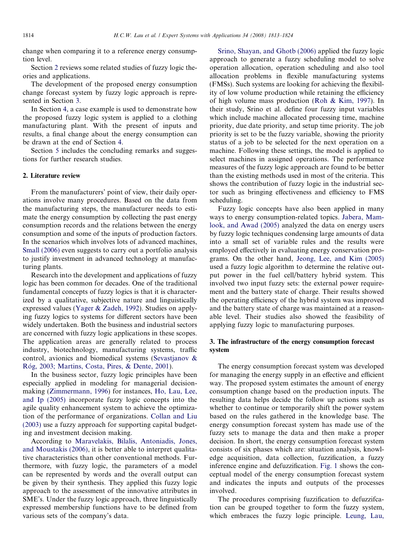change when comparing it to a reference energy consumption level.

Section 2 reviews some related studies of fuzzy logic theories and applications.

The development of the proposed energy consumption change forecast system by fuzzy logic approach is represented in Section 3.

In Section [4,](#page--1-0) a case example is used to demonstrate how the proposed fuzzy logic system is applied to a clothing manufacturing plant. With the present of inputs and results, a final change about the energy consumption can be drawn at the end of Section [4.](#page--1-0)

Section [5](#page--1-0) includes the concluding remarks and suggestions for further research studies.

#### 2. Literature review

From the manufacturers' point of view, their daily operations involve many procedures. Based on the data from the manufacturing steps, the manufacturer needs to estimate the energy consumption by collecting the past energy consumption records and the relations between the energy consumption and some of the inputs of production factors. In the scenarios which involves lots of advanced machines, [Small \(2006\)](#page--1-0) even suggests to carry out a portfolio analysis to justify investment in advanced technology at manufacturing plants.

Research into the development and applications of fuzzy logic has been common for decades. One of the traditional fundamental concepts of fuzzy logics is that it is characterized by a qualitative, subjective nature and linguistically expressed values ([Yager & Zadeh, 1992](#page--1-0)). Studies on applying fuzzy logics to systems for different sectors have been widely undertaken. Both the business and industrial sectors are concerned with fuzzy logic applications in these scopes. The application areas are generally related to process industry, biotechnology, manufacturing systems, traffic control, avionics and biomedical systems ([Sevastjanov &](#page--1-0) Róg, 2003; Martins, Costa, Pires, & Dente, 2001).

In the business sector, fuzzy logic principles have been especially applied in modeling for managerial decisionmaking [\(Zimmermann, 1996\)](#page--1-0) for instances, [Ho, Lau, Lee,](#page--1-0) [and Ip \(2005\)](#page--1-0) incorporate fuzzy logic concepts into the agile quality enhancement system to achieve the optimization of the performance of organizations. [Collan and Liu](#page--1-0) [\(2003\)](#page--1-0) use a fuzzy approach for supporting capital budgeting and investment decision making.

According to [Maravelakis, Bilalis, Antoniadis, Jones,](#page--1-0) [and Moustakis \(2006\)](#page--1-0), it is better able to interpret qualitative characteristics than other conventional methods. Furthermore, with fuzzy logic, the parameters of a model can be represented by words and the overall output can be given by their synthesis. They applied this fuzzy logic approach to the assessment of the innovative attributes in SME's. Under the fuzzy logic approach, three linguistically expressed membership functions have to be defined from various sets of the company's data.

[Srino, Shayan, and Ghotb \(2006\)](#page--1-0) applied the fuzzy logic approach to generate a fuzzy scheduling model to solve operation allocation, operation scheduling and also tool allocation problems in flexible manufacturing systems (FMSs). Such systems are looking for achieving the flexibility of low volume production while retaining the efficiency of high volume mass production ([Roh & Kim, 1997](#page--1-0)). In their study, Srino et al. define four fuzzy input variables which include machine allocated processing time, machine priority, due date priority, and setup time priority. The job priority is set to be the fuzzy variable, showing the priority status of a job to be selected for the next operation on a machine. Following these settings, the model is applied to select machines in assigned operations. The performance measures of the fuzzy logic approach are found to be better than the existing methods used in most of the criteria. This shows the contribution of fuzzy logic in the industrial sector such as bringing effectiveness and efficiency to FMS scheduling.

Fuzzy logic concepts have also been applied in many ways to energy consumption-related topics. [Jabera, Mam](#page--1-0)[look, and Awad \(2005\)](#page--1-0) analyzed the data on energy users by fuzzy logic techniques condensing large amounts of data into a small set of variable rules and the results were employed effectively in evaluating energy conservation programs. On the other hand, [Jeong, Lee, and Kim \(2005\)](#page--1-0) used a fuzzy logic algorithm to determine the relative output power in the fuel cell/battery hybrid system. This involved two input fuzzy sets: the external power requirement and the battery state of charge. Their results showed the operating efficiency of the hybrid system was improved and the battery state of charge was maintained at a reasonable level. Their studies also showed the feasibility of applying fuzzy logic to manufacturing purposes.

### 3. The infrastructure of the energy consumption forecast system

The energy consumption forecast system was developed for managing the energy supply in an effective and efficient way. The proposed system estimates the amount of energy consumption change based on the production inputs. The resulting data helps decide the follow up actions such as whether to continue or temporarily shift the power system based on the rules gathered in the knowledge base. The energy consumption forecast system has made use of the fuzzy sets to manage the data and then make a proper decision. In short, the energy consumption forecast system consists of six phases which are: situation analysis, knowledge acquisition, data collection, fuzzification, a fuzzy inference engine and defuzzification. [Fig. 1](#page--1-0) shows the conceptual model of the energy consumption forecast system and indicates the inputs and outputs of the processes involved.

The procedures comprising fuzzification to defuzzifcation can be grouped together to form the fuzzy system, which embraces the fuzzy logic principle. [Leung, Lau,](#page--1-0)